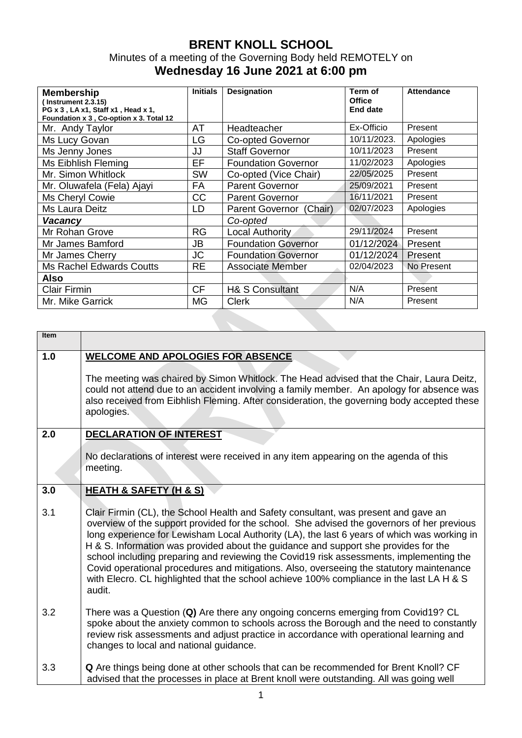## **BRENT KNOLL SCHOOL**  Minutes of a meeting of the Governing Body held REMOTELY on **Wednesday 16 June 2021 at 6:00 pm**

| <b>Membership</b><br>$($ Instrument 2.3.15)<br>PG x 3, LA x1, Staff x1, Head x 1,<br>Foundation x 3, Co-option x 3. Total 12 | <b>Initials</b> | <b>Designation</b>         | Term of<br><b>Office</b><br>End date | <b>Attendance</b> |
|------------------------------------------------------------------------------------------------------------------------------|-----------------|----------------------------|--------------------------------------|-------------------|
| Mr. Andy Taylor                                                                                                              | AT              | Headteacher                | Ex-Officio                           | Present           |
| Ms Lucy Govan                                                                                                                | LG              | <b>Co-opted Governor</b>   | 10/11/2023.                          | Apologies         |
| Ms Jenny Jones                                                                                                               | JJ              | <b>Staff Governor</b>      | 10/11/2023                           | Present           |
| Ms Eibhlish Fleming                                                                                                          | EF              | <b>Foundation Governor</b> | 11/02/2023                           | Apologies         |
| Mr. Simon Whitlock                                                                                                           | <b>SW</b>       | Co-opted (Vice Chair)      | 22/05/2025                           | Present           |
| Mr. Oluwafela (Fela) Ajayi                                                                                                   | <b>FA</b>       | <b>Parent Governor</b>     | 25/09/2021                           | Present           |
| Ms Cheryl Cowie                                                                                                              | <b>CC</b>       | <b>Parent Governor</b>     | 16/11/2021                           | Present           |
| Ms Laura Deitz                                                                                                               | LD              | Parent Governor (Chair)    | 02/07/2023                           | Apologies         |
| Vacancy                                                                                                                      |                 | Co-opted                   |                                      |                   |
| Mr Rohan Grove                                                                                                               | RG              | Local Authority            | 29/11/2024                           | Present           |
| Mr James Bamford                                                                                                             | <b>JB</b>       | <b>Foundation Governor</b> | 01/12/2024                           | Present           |
| Mr James Cherry                                                                                                              | <b>JC</b>       | <b>Foundation Governor</b> | 01/12/2024                           | Present           |
| <b>Ms Rachel Edwards Coutts</b>                                                                                              | <b>RE</b>       | Associate Member           | 02/04/2023                           | No Present        |
| Also                                                                                                                         |                 |                            |                                      |                   |
| <b>Clair Firmin</b>                                                                                                          | <b>CF</b>       | <b>H&amp; S Consultant</b> | N/A                                  | Present           |
| Mr. Mike Garrick                                                                                                             | <b>MG</b>       | <b>Clerk</b>               | N/A                                  | Present           |

| <b>Item</b> |                                                                                                                                                                                                                                                                                                                                                                                                                                                                                                                                                                                                                                                                      |
|-------------|----------------------------------------------------------------------------------------------------------------------------------------------------------------------------------------------------------------------------------------------------------------------------------------------------------------------------------------------------------------------------------------------------------------------------------------------------------------------------------------------------------------------------------------------------------------------------------------------------------------------------------------------------------------------|
| 1.0         | <b>WELCOME AND APOLOGIES FOR ABSENCE</b><br>The meeting was chaired by Simon Whitlock. The Head advised that the Chair, Laura Deitz,<br>could not attend due to an accident involving a family member. An apology for absence was<br>also received from Eibhlish Fleming. After consideration, the governing body accepted these<br>apologies.                                                                                                                                                                                                                                                                                                                       |
| 2.0         | <b>DECLARATION OF INTEREST</b><br>No declarations of interest were received in any item appearing on the agenda of this<br>meeting.                                                                                                                                                                                                                                                                                                                                                                                                                                                                                                                                  |
| 3.0         | <b>HEATH &amp; SAFETY (H &amp; S)</b>                                                                                                                                                                                                                                                                                                                                                                                                                                                                                                                                                                                                                                |
| 3.1         | Clair Firmin (CL), the School Health and Safety consultant, was present and gave an<br>overview of the support provided for the school. She advised the governors of her previous<br>long experience for Lewisham Local Authority (LA), the last 6 years of which was working in<br>H & S. Information was provided about the guidance and support she provides for the<br>school including preparing and reviewing the Covid19 risk assessments, implementing the<br>Covid operational procedures and mitigations. Also, overseeing the statutory maintenance<br>with Elecro. CL highlighted that the school achieve 100% compliance in the last LA H & S<br>audit. |
| 3.2         | There was a Question (Q) Are there any ongoing concerns emerging from Covid19? CL<br>spoke about the anxiety common to schools across the Borough and the need to constantly<br>review risk assessments and adjust practice in accordance with operational learning and<br>changes to local and national guidance.                                                                                                                                                                                                                                                                                                                                                   |
| 3.3         | Q Are things being done at other schools that can be recommended for Brent Knoll? CF<br>advised that the processes in place at Brent knoll were outstanding. All was going well                                                                                                                                                                                                                                                                                                                                                                                                                                                                                      |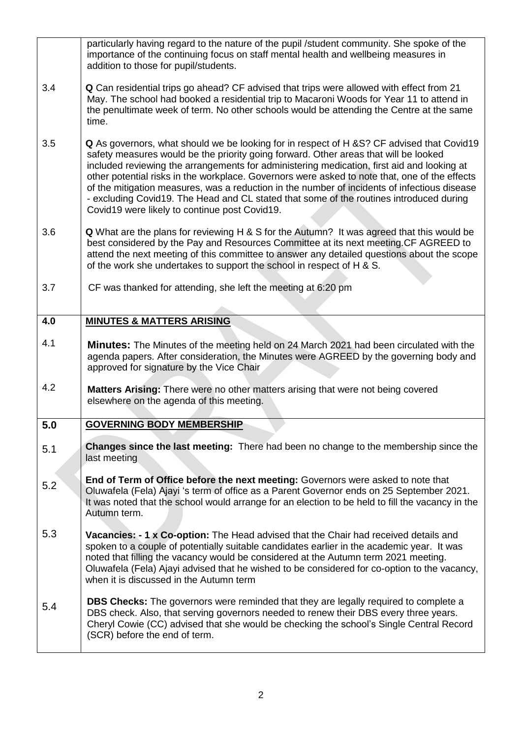|     | particularly having regard to the nature of the pupil /student community. She spoke of the<br>importance of the continuing focus on staff mental health and wellbeing measures in<br>addition to those for pupil/students.                                                                                                                                                                                                                                                                                                                                                                                                    |
|-----|-------------------------------------------------------------------------------------------------------------------------------------------------------------------------------------------------------------------------------------------------------------------------------------------------------------------------------------------------------------------------------------------------------------------------------------------------------------------------------------------------------------------------------------------------------------------------------------------------------------------------------|
| 3.4 | <b>Q</b> Can residential trips go ahead? CF advised that trips were allowed with effect from 21<br>May. The school had booked a residential trip to Macaroni Woods for Year 11 to attend in<br>the penultimate week of term. No other schools would be attending the Centre at the same<br>time.                                                                                                                                                                                                                                                                                                                              |
| 3.5 | Q As governors, what should we be looking for in respect of H & S? CF advised that Covid19<br>safety measures would be the priority going forward. Other areas that will be looked<br>included reviewing the arrangements for administering medication, first aid and looking at<br>other potential risks in the workplace. Governors were asked to note that, one of the effects<br>of the mitigation measures, was a reduction in the number of incidents of infectious disease<br>- excluding Covid19. The Head and CL stated that some of the routines introduced during<br>Covid19 were likely to continue post Covid19. |
| 3.6 | <b>Q</b> What are the plans for reviewing H & S for the Autumn? It was agreed that this would be<br>best considered by the Pay and Resources Committee at its next meeting. CF AGREED to<br>attend the next meeting of this committee to answer any detailed questions about the scope<br>of the work she undertakes to support the school in respect of H & S.                                                                                                                                                                                                                                                               |
| 3.7 | CF was thanked for attending, she left the meeting at 6:20 pm                                                                                                                                                                                                                                                                                                                                                                                                                                                                                                                                                                 |
| 4.0 | <b>MINUTES &amp; MATTERS ARISING</b>                                                                                                                                                                                                                                                                                                                                                                                                                                                                                                                                                                                          |
| 4.1 | Minutes: The Minutes of the meeting held on 24 March 2021 had been circulated with the<br>agenda papers. After consideration, the Minutes were AGREED by the governing body and<br>approved for signature by the Vice Chair                                                                                                                                                                                                                                                                                                                                                                                                   |
| 4.2 | <b>Matters Arising:</b> There were no other matters arising that were not being covered<br>elsewhere on the agenda of this meeting.                                                                                                                                                                                                                                                                                                                                                                                                                                                                                           |
| 5.0 | <b>GOVERNING BODY MEMBERSHIP</b>                                                                                                                                                                                                                                                                                                                                                                                                                                                                                                                                                                                              |
| 5.1 | Changes since the last meeting: There had been no change to the membership since the<br>last meeting                                                                                                                                                                                                                                                                                                                                                                                                                                                                                                                          |
| 5.2 | End of Term of Office before the next meeting: Governors were asked to note that<br>Oluwafela (Fela) Ajayi 's term of office as a Parent Governor ends on 25 September 2021.<br>It was noted that the school would arrange for an election to be held to fill the vacancy in the<br>Autumn term.                                                                                                                                                                                                                                                                                                                              |
| 5.3 | Vacancies: - 1 x Co-option: The Head advised that the Chair had received details and<br>spoken to a couple of potentially suitable candidates earlier in the academic year. It was<br>noted that filling the vacancy would be considered at the Autumn term 2021 meeting.<br>Oluwafela (Fela) Ajayi advised that he wished to be considered for co-option to the vacancy,<br>when it is discussed in the Autumn term                                                                                                                                                                                                          |
| 5.4 | DBS Checks: The governors were reminded that they are legally required to complete a                                                                                                                                                                                                                                                                                                                                                                                                                                                                                                                                          |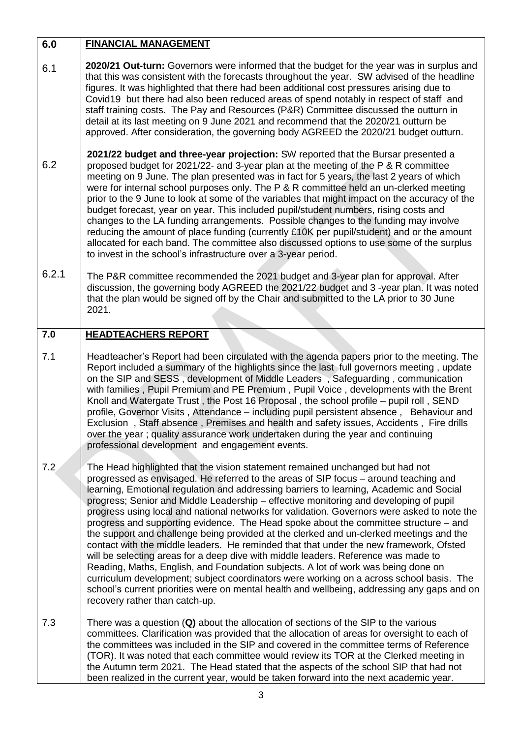## **6.0 FINANCIAL MANAGEMENT**

- 6.1 **2020/21 Out-turn:** Governors were informed that the budget for the year was in surplus and that this was consistent with the forecasts throughout the year. SW advised of the headline figures. It was highlighted that there had been additional cost pressures arising due to Covid19 but there had also been reduced areas of spend notably in respect of staff and staff training costs. The Pay and Resources (P&R) Committee discussed the outturn in detail at its last meeting on 9 June 2021 and recommend that the 2020/21 outturn be approved. After consideration, the governing body AGREED the 2020/21 budget outturn.
- 6.2 **2021/22 budget and three-year projection:** SW reported that the Bursar presented a proposed budget for 2021/22- and 3-year plan at the meeting of the P & R committee meeting on 9 June. The plan presented was in fact for 5 years, the last 2 years of which were for internal school purposes only. The P & R committee held an un-clerked meeting prior to the 9 June to look at some of the variables that might impact on the accuracy of the budget forecast, year on year. This included pupil/student numbers, rising costs and changes to the LA funding arrangements. Possible changes to the funding may involve reducing the amount of place funding (currently £10K per pupil/student) and or the amount allocated for each band. The committee also discussed options to use some of the surplus to invest in the school's infrastructure over a 3-year period.
- 6.2.1 The P&R committee recommended the 2021 budget and 3-year plan for approval. After discussion, the governing body AGREED the 2021/22 budget and 3 -year plan. It was noted that the plan would be signed off by the Chair and submitted to the LA prior to 30 June 2021.

## **7.0 HEADTEACHERS REPORT**

- 7.1 Headteacher's Report had been circulated with the agenda papers prior to the meeting. The Report included a summary of the highlights since the last full governors meeting , update on the SIP and SESS , development of Middle Leaders , Safeguarding , communication with families , Pupil Premium and PE Premium , Pupil Voice , developments with the Brent Knoll and Watergate Trust , the Post 16 Proposal , the school profile – pupil roll , SEND profile, Governor Visits , Attendance – including pupil persistent absence , Behaviour and Exclusion , Staff absence , Premises and health and safety issues, Accidents , Fire drills over the year ; quality assurance work undertaken during the year and continuing professional development and engagement events.
- 7.2 The Head highlighted that the vision statement remained unchanged but had not progressed as envisaged. He referred to the areas of SIP focus – around teaching and learning, Emotional regulation and addressing barriers to learning, Academic and Social progress; Senior and Middle Leadership – effective monitoring and developing of pupil progress using local and national networks for validation. Governors were asked to note the progress and supporting evidence. The Head spoke about the committee structure – and the support and challenge being provided at the clerked and un-clerked meetings and the contact with the middle leaders. He reminded that that under the new framework, Ofsted will be selecting areas for a deep dive with middle leaders. Reference was made to Reading, Maths, English, and Foundation subjects. A lot of work was being done on curriculum development; subject coordinators were working on a across school basis. The school's current priorities were on mental health and wellbeing, addressing any gaps and on recovery rather than catch-up.
- 7.3 There was a question (**Q)** about the allocation of sections of the SIP to the various committees. Clarification was provided that the allocation of areas for oversight to each of the committees was included in the SIP and covered in the committee terms of Reference (TOR). It was noted that each committee would review its TOR at the Clerked meeting in the Autumn term 2021. The Head stated that the aspects of the school SIP that had not been realized in the current year, would be taken forward into the next academic year.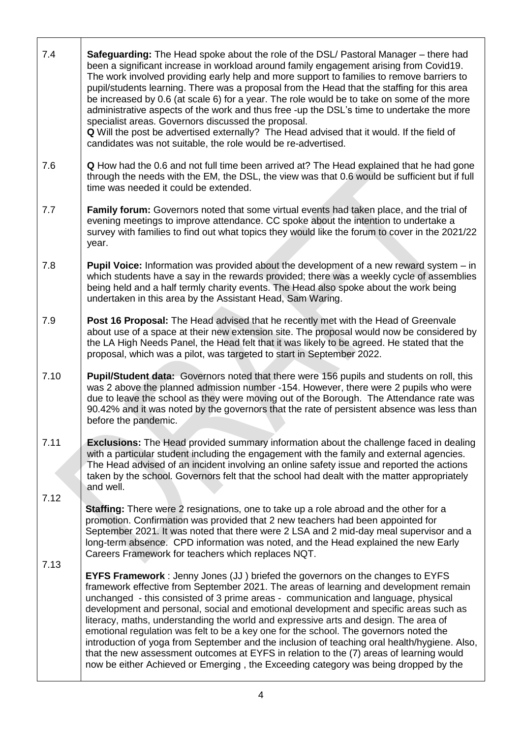| 7.4          | Safeguarding: The Head spoke about the role of the DSL/ Pastoral Manager – there had<br>been a significant increase in workload around family engagement arising from Covid19.<br>The work involved providing early help and more support to families to remove barriers to<br>pupil/students learning. There was a proposal from the Head that the staffing for this area<br>be increased by 0.6 (at scale 6) for a year. The role would be to take on some of the more<br>administrative aspects of the work and thus free -up the DSL's time to undertake the more<br>specialist areas. Governors discussed the proposal.<br>Q Will the post be advertised externally? The Head advised that it would. If the field of<br>candidates was not suitable, the role would be re-advertised.                                       |
|--------------|----------------------------------------------------------------------------------------------------------------------------------------------------------------------------------------------------------------------------------------------------------------------------------------------------------------------------------------------------------------------------------------------------------------------------------------------------------------------------------------------------------------------------------------------------------------------------------------------------------------------------------------------------------------------------------------------------------------------------------------------------------------------------------------------------------------------------------|
| 7.6          | <b>Q</b> How had the 0.6 and not full time been arrived at? The Head explained that he had gone<br>through the needs with the EM, the DSL, the view was that 0.6 would be sufficient but if full<br>time was needed it could be extended.                                                                                                                                                                                                                                                                                                                                                                                                                                                                                                                                                                                        |
| 7.7          | Family forum: Governors noted that some virtual events had taken place, and the trial of<br>evening meetings to improve attendance. CC spoke about the intention to undertake a<br>survey with families to find out what topics they would like the forum to cover in the 2021/22<br>year.                                                                                                                                                                                                                                                                                                                                                                                                                                                                                                                                       |
| 7.8          | <b>Pupil Voice:</b> Information was provided about the development of a new reward system $-$ in<br>which students have a say in the rewards provided; there was a weekly cycle of assemblies<br>being held and a half termly charity events. The Head also spoke about the work being<br>undertaken in this area by the Assistant Head, Sam Waring.                                                                                                                                                                                                                                                                                                                                                                                                                                                                             |
| 7.9          | <b>Post 16 Proposal:</b> The Head advised that he recently met with the Head of Greenvale<br>about use of a space at their new extension site. The proposal would now be considered by<br>the LA High Needs Panel, the Head felt that it was likely to be agreed. He stated that the<br>proposal, which was a pilot, was targeted to start in September 2022.                                                                                                                                                                                                                                                                                                                                                                                                                                                                    |
| 7.10         | Pupil/Student data: Governors noted that there were 156 pupils and students on roll, this<br>was 2 above the planned admission number -154. However, there were 2 pupils who were<br>due to leave the school as they were moving out of the Borough. The Attendance rate was<br>90.42% and it was noted by the governors that the rate of persistent absence was less than<br>before the pandemic.                                                                                                                                                                                                                                                                                                                                                                                                                               |
| 7.11<br>7.12 | <b>Exclusions:</b> The Head provided summary information about the challenge faced in dealing<br>with a particular student including the engagement with the family and external agencies.<br>The Head advised of an incident involving an online safety issue and reported the actions<br>taken by the school. Governors felt that the school had dealt with the matter appropriately<br>and well.                                                                                                                                                                                                                                                                                                                                                                                                                              |
| 7.13         | <b>Staffing:</b> There were 2 resignations, one to take up a role abroad and the other for a<br>promotion. Confirmation was provided that 2 new teachers had been appointed for<br>September 2021. It was noted that there were 2 LSA and 2 mid-day meal supervisor and a<br>long-term absence. CPD information was noted, and the Head explained the new Early<br>Careers Framework for teachers which replaces NQT.                                                                                                                                                                                                                                                                                                                                                                                                            |
|              | <b>EYFS Framework</b> : Jenny Jones (JJ) briefed the governors on the changes to EYFS<br>framework effective from September 2021. The areas of learning and development remain<br>unchanged - this consisted of 3 prime areas - communication and language, physical<br>development and personal, social and emotional development and specific areas such as<br>literacy, maths, understanding the world and expressive arts and design. The area of<br>emotional regulation was felt to be a key one for the school. The governors noted the<br>introduction of yoga from September and the inclusion of teaching oral health/hygiene. Also,<br>that the new assessment outcomes at EYFS in relation to the (7) areas of learning would<br>now be either Achieved or Emerging, the Exceeding category was being dropped by the |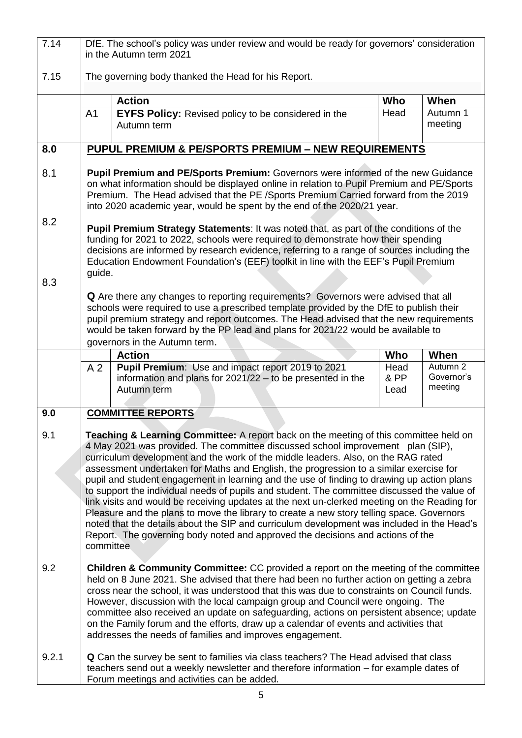| 7.14       | DfE. The school's policy was under review and would be ready for governors' consideration<br>in the Autumn term 2021                                                                                                                                                                                                                                                                                                                                                                                                                                                                                                                                                                                                                                                                                                                                                                                                                                      |                                                                                                                                                                                                                                                                                                                                                 |                      |                                   |  |  |
|------------|-----------------------------------------------------------------------------------------------------------------------------------------------------------------------------------------------------------------------------------------------------------------------------------------------------------------------------------------------------------------------------------------------------------------------------------------------------------------------------------------------------------------------------------------------------------------------------------------------------------------------------------------------------------------------------------------------------------------------------------------------------------------------------------------------------------------------------------------------------------------------------------------------------------------------------------------------------------|-------------------------------------------------------------------------------------------------------------------------------------------------------------------------------------------------------------------------------------------------------------------------------------------------------------------------------------------------|----------------------|-----------------------------------|--|--|
| 7.15       | The governing body thanked the Head for his Report.                                                                                                                                                                                                                                                                                                                                                                                                                                                                                                                                                                                                                                                                                                                                                                                                                                                                                                       |                                                                                                                                                                                                                                                                                                                                                 |                      |                                   |  |  |
|            |                                                                                                                                                                                                                                                                                                                                                                                                                                                                                                                                                                                                                                                                                                                                                                                                                                                                                                                                                           | <b>Action</b>                                                                                                                                                                                                                                                                                                                                   | Who                  | When                              |  |  |
|            | A <sub>1</sub>                                                                                                                                                                                                                                                                                                                                                                                                                                                                                                                                                                                                                                                                                                                                                                                                                                                                                                                                            | <b>EYFS Policy:</b> Revised policy to be considered in the<br>Autumn term                                                                                                                                                                                                                                                                       | Head                 | Autumn 1<br>meeting               |  |  |
| 8.0        |                                                                                                                                                                                                                                                                                                                                                                                                                                                                                                                                                                                                                                                                                                                                                                                                                                                                                                                                                           | <b>PUPUL PREMIUM &amp; PE/SPORTS PREMIUM - NEW REQUIREMENTS</b>                                                                                                                                                                                                                                                                                 |                      |                                   |  |  |
| 8.1        |                                                                                                                                                                                                                                                                                                                                                                                                                                                                                                                                                                                                                                                                                                                                                                                                                                                                                                                                                           | Pupil Premium and PE/Sports Premium: Governors were informed of the new Guidance<br>on what information should be displayed online in relation to Pupil Premium and PE/Sports<br>Premium. The Head advised that the PE /Sports Premium Carried forward from the 2019<br>into 2020 academic year, would be spent by the end of the 2020/21 year. |                      |                                   |  |  |
| 8.2<br>8.3 | Pupil Premium Strategy Statements: It was noted that, as part of the conditions of the<br>funding for 2021 to 2022, schools were required to demonstrate how their spending<br>decisions are informed by research evidence, referring to a range of sources including the<br>Education Endowment Foundation's (EEF) toolkit in line with the EEF's Pupil Premium<br>guide.                                                                                                                                                                                                                                                                                                                                                                                                                                                                                                                                                                                |                                                                                                                                                                                                                                                                                                                                                 |                      |                                   |  |  |
|            | <b>Q</b> Are there any changes to reporting requirements? Governors were advised that all<br>schools were required to use a prescribed template provided by the DfE to publish their<br>pupil premium strategy and report outcomes. The Head advised that the new requirements<br>would be taken forward by the PP lead and plans for 2021/22 would be available to<br>governors in the Autumn term.                                                                                                                                                                                                                                                                                                                                                                                                                                                                                                                                                      |                                                                                                                                                                                                                                                                                                                                                 |                      |                                   |  |  |
|            |                                                                                                                                                                                                                                                                                                                                                                                                                                                                                                                                                                                                                                                                                                                                                                                                                                                                                                                                                           | <b>Action</b>                                                                                                                                                                                                                                                                                                                                   | Who                  | When                              |  |  |
|            | A <sub>2</sub>                                                                                                                                                                                                                                                                                                                                                                                                                                                                                                                                                                                                                                                                                                                                                                                                                                                                                                                                            | Pupil Premium: Use and impact report 2019 to 2021<br>information and plans for $2021/22 -$ to be presented in the<br>Autumn term                                                                                                                                                                                                                | Head<br>& PP<br>Lead | Autumn 2<br>Governor's<br>meeting |  |  |
| 9.0        |                                                                                                                                                                                                                                                                                                                                                                                                                                                                                                                                                                                                                                                                                                                                                                                                                                                                                                                                                           | <b>COMMITTEE REPORTS</b>                                                                                                                                                                                                                                                                                                                        |                      |                                   |  |  |
| 9.1        | <b>Teaching &amp; Learning Committee:</b> A report back on the meeting of this committee held on<br>4 May 2021 was provided. The committee discussed school improvement plan (SIP),<br>curriculum development and the work of the middle leaders. Also, on the RAG rated<br>assessment undertaken for Maths and English, the progression to a similar exercise for<br>pupil and student engagement in learning and the use of finding to drawing up action plans<br>to support the individual needs of pupils and student. The committee discussed the value of<br>link visits and would be receiving updates at the next un-clerked meeting on the Reading for<br>Pleasure and the plans to move the library to create a new story telling space. Governors<br>noted that the details about the SIP and curriculum development was included in the Head's<br>Report. The governing body noted and approved the decisions and actions of the<br>committee |                                                                                                                                                                                                                                                                                                                                                 |                      |                                   |  |  |
| 9.2        | <b>Children &amp; Community Committee:</b> CC provided a report on the meeting of the committee<br>held on 8 June 2021. She advised that there had been no further action on getting a zebra<br>cross near the school, it was understood that this was due to constraints on Council funds.<br>However, discussion with the local campaign group and Council were ongoing. The<br>committee also received an update on safeguarding, actions on persistent absence; update<br>on the Family forum and the efforts, draw up a calendar of events and activities that<br>addresses the needs of families and improves engagement.                                                                                                                                                                                                                                                                                                                           |                                                                                                                                                                                                                                                                                                                                                 |                      |                                   |  |  |
| 9.2.1      | <b>Q</b> Can the survey be sent to families via class teachers? The Head advised that class<br>teachers send out a weekly newsletter and therefore information – for example dates of<br>Forum meetings and activities can be added.                                                                                                                                                                                                                                                                                                                                                                                                                                                                                                                                                                                                                                                                                                                      |                                                                                                                                                                                                                                                                                                                                                 |                      |                                   |  |  |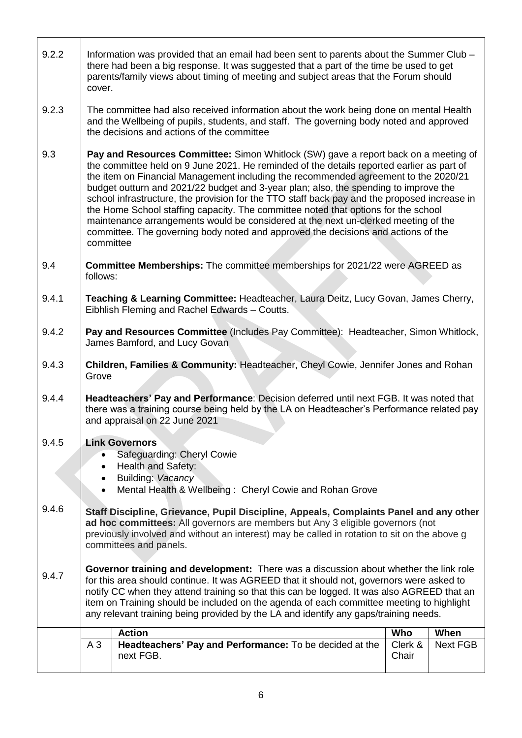| 9.2.2 | Information was provided that an email had been sent to parents about the Summer Club -<br>there had been a big response. It was suggested that a part of the time be used to get<br>parents/family views about timing of meeting and subject areas that the Forum should<br>cover.                                                                                                                                                                                                                                                                                                                                                                                                                                                           |                                                                                                                                     |                  |          |  |
|-------|-----------------------------------------------------------------------------------------------------------------------------------------------------------------------------------------------------------------------------------------------------------------------------------------------------------------------------------------------------------------------------------------------------------------------------------------------------------------------------------------------------------------------------------------------------------------------------------------------------------------------------------------------------------------------------------------------------------------------------------------------|-------------------------------------------------------------------------------------------------------------------------------------|------------------|----------|--|
| 9.2.3 | The committee had also received information about the work being done on mental Health<br>and the Wellbeing of pupils, students, and staff. The governing body noted and approved<br>the decisions and actions of the committee                                                                                                                                                                                                                                                                                                                                                                                                                                                                                                               |                                                                                                                                     |                  |          |  |
| 9.3   | Pay and Resources Committee: Simon Whitlock (SW) gave a report back on a meeting of<br>the committee held on 9 June 2021. He reminded of the details reported earlier as part of<br>the item on Financial Management including the recommended agreement to the 2020/21<br>budget outturn and 2021/22 budget and 3-year plan; also, the spending to improve the<br>school infrastructure, the provision for the TTO staff back pay and the proposed increase in<br>the Home School staffing capacity. The committee noted that options for the school<br>maintenance arrangements would be considered at the next un-clerked meeting of the<br>committee. The governing body noted and approved the decisions and actions of the<br>committee |                                                                                                                                     |                  |          |  |
| 9.4   | follows:                                                                                                                                                                                                                                                                                                                                                                                                                                                                                                                                                                                                                                                                                                                                      | <b>Committee Memberships:</b> The committee memberships for 2021/22 were AGREED as                                                  |                  |          |  |
| 9.4.1 |                                                                                                                                                                                                                                                                                                                                                                                                                                                                                                                                                                                                                                                                                                                                               | Teaching & Learning Committee: Headteacher, Laura Deitz, Lucy Govan, James Cherry,<br>Eibhlish Fleming and Rachel Edwards - Coutts. |                  |          |  |
| 9.4.2 |                                                                                                                                                                                                                                                                                                                                                                                                                                                                                                                                                                                                                                                                                                                                               | Pay and Resources Committee (Includes Pay Committee): Headteacher, Simon Whitlock,<br>James Bamford, and Lucy Govan                 |                  |          |  |
| 9.4.3 | Children, Families & Community: Headteacher, Cheyl Cowie, Jennifer Jones and Rohan<br>Grove                                                                                                                                                                                                                                                                                                                                                                                                                                                                                                                                                                                                                                                   |                                                                                                                                     |                  |          |  |
| 9.4.4 | Headteachers' Pay and Performance: Decision deferred until next FGB. It was noted that<br>there was a training course being held by the LA on Headteacher's Performance related pay<br>and appraisal on 22 June 2021                                                                                                                                                                                                                                                                                                                                                                                                                                                                                                                          |                                                                                                                                     |                  |          |  |
| 9.4.5 | <b>Link Governors</b><br>Safeguarding: Cheryl Cowie<br>Health and Safety:<br>$\bullet$<br>Building: Vacancy<br>Mental Health & Wellbeing: Cheryl Cowie and Rohan Grove                                                                                                                                                                                                                                                                                                                                                                                                                                                                                                                                                                        |                                                                                                                                     |                  |          |  |
| 9.4.6 | Staff Discipline, Grievance, Pupil Discipline, Appeals, Complaints Panel and any other<br>ad hoc committees: All governors are members but Any 3 eligible governors (not<br>previously involved and without an interest) may be called in rotation to sit on the above g<br>committees and panels.                                                                                                                                                                                                                                                                                                                                                                                                                                            |                                                                                                                                     |                  |          |  |
| 9.4.7 | Governor training and development: There was a discussion about whether the link role<br>for this area should continue. It was AGREED that it should not, governors were asked to<br>notify CC when they attend training so that this can be logged. It was also AGREED that an<br>item on Training should be included on the agenda of each committee meeting to highlight<br>any relevant training being provided by the LA and identify any gaps/training needs.                                                                                                                                                                                                                                                                           |                                                                                                                                     |                  |          |  |
|       |                                                                                                                                                                                                                                                                                                                                                                                                                                                                                                                                                                                                                                                                                                                                               | <b>Action</b>                                                                                                                       | Who              | When     |  |
|       | A <sub>3</sub>                                                                                                                                                                                                                                                                                                                                                                                                                                                                                                                                                                                                                                                                                                                                | Headteachers' Pay and Performance: To be decided at the<br>next FGB.                                                                | Clerk &<br>Chair | Next FGB |  |

 $\overline{\phantom{a}}$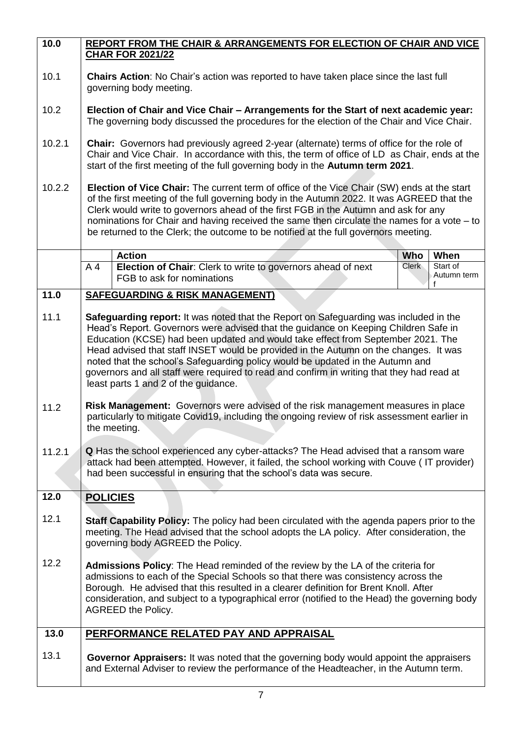| 10.0             | REPORT FROM THE CHAIR & ARRANGEMENTS FOR ELECTION OF CHAIR AND VICE<br><b>CHAR FOR 2021/22</b>                                                                                                                                                                                                                                                                                                                                                                                                                                                                                          |       |                         |  |  |
|------------------|-----------------------------------------------------------------------------------------------------------------------------------------------------------------------------------------------------------------------------------------------------------------------------------------------------------------------------------------------------------------------------------------------------------------------------------------------------------------------------------------------------------------------------------------------------------------------------------------|-------|-------------------------|--|--|
| 10.1             | <b>Chairs Action:</b> No Chair's action was reported to have taken place since the last full<br>governing body meeting.                                                                                                                                                                                                                                                                                                                                                                                                                                                                 |       |                         |  |  |
| 10.2             | Election of Chair and Vice Chair – Arrangements for the Start of next academic year:<br>The governing body discussed the procedures for the election of the Chair and Vice Chair.                                                                                                                                                                                                                                                                                                                                                                                                       |       |                         |  |  |
| 10.2.1           | Chair: Governors had previously agreed 2-year (alternate) terms of office for the role of<br>Chair and Vice Chair. In accordance with this, the term of office of LD as Chair, ends at the<br>start of the first meeting of the full governing body in the Autumn term 2021.                                                                                                                                                                                                                                                                                                            |       |                         |  |  |
| 10.2.2           | Election of Vice Chair: The current term of office of the Vice Chair (SW) ends at the start<br>of the first meeting of the full governing body in the Autumn 2022. It was AGREED that the<br>Clerk would write to governors ahead of the first FGB in the Autumn and ask for any<br>nominations for Chair and having received the same then circulate the names for a vote - to<br>be returned to the Clerk; the outcome to be notified at the full governors meeting.                                                                                                                  |       |                         |  |  |
|                  | <b>Action</b>                                                                                                                                                                                                                                                                                                                                                                                                                                                                                                                                                                           | Who   | When                    |  |  |
|                  | Election of Chair: Clerk to write to governors ahead of next<br>A <sub>4</sub><br>FGB to ask for nominations                                                                                                                                                                                                                                                                                                                                                                                                                                                                            | Clerk | Start of<br>Autumn term |  |  |
| 11.0             | <b>SAFEGUARDING &amp; RISK MANAGEMENT)</b>                                                                                                                                                                                                                                                                                                                                                                                                                                                                                                                                              |       |                         |  |  |
| 11.1             | <b>Safeguarding report:</b> It was noted that the Report on Safeguarding was included in the<br>Head's Report. Governors were advised that the guidance on Keeping Children Safe in<br>Education (KCSE) had been updated and would take effect from September 2021. The<br>Head advised that staff INSET would be provided in the Autumn on the changes. It was<br>noted that the school's Safeguarding policy would be updated in the Autumn and<br>governors and all staff were required to read and confirm in writing that they had read at<br>least parts 1 and 2 of the guidance. |       |                         |  |  |
| 11.2             | Risk Management: Governors were advised of the risk management measures in place<br>particularly to mitigate Covid19, including the ongoing review of risk assessment earlier in<br>the meeting.                                                                                                                                                                                                                                                                                                                                                                                        |       |                         |  |  |
| 11.2.1           | Q Has the school experienced any cyber-attacks? The Head advised that a ransom ware<br>attack had been attempted. However, it failed, the school working with Couve (IT provider)<br>had been successful in ensuring that the school's data was secure.                                                                                                                                                                                                                                                                                                                                 |       |                         |  |  |
| 12.0             | <b>POLICIES</b>                                                                                                                                                                                                                                                                                                                                                                                                                                                                                                                                                                         |       |                         |  |  |
| 12.1             | <b>Staff Capability Policy:</b> The policy had been circulated with the agenda papers prior to the<br>meeting. The Head advised that the school adopts the LA policy. After consideration, the<br>governing body AGREED the Policy.                                                                                                                                                                                                                                                                                                                                                     |       |                         |  |  |
| 12.2             | <b>Admissions Policy:</b> The Head reminded of the review by the LA of the criteria for<br>admissions to each of the Special Schools so that there was consistency across the<br>Borough. He advised that this resulted in a clearer definition for Brent Knoll. After<br>consideration, and subject to a typographical error (notified to the Head) the governing body<br>AGREED the Policy.                                                                                                                                                                                           |       |                         |  |  |
| $\frac{13.0}{2}$ | PERFORMANCE RELATED PAY AND APPRAISAL                                                                                                                                                                                                                                                                                                                                                                                                                                                                                                                                                   |       |                         |  |  |
| 13.1             | Governor Appraisers: It was noted that the governing body would appoint the appraisers<br>and External Adviser to review the performance of the Headteacher, in the Autumn term.                                                                                                                                                                                                                                                                                                                                                                                                        |       |                         |  |  |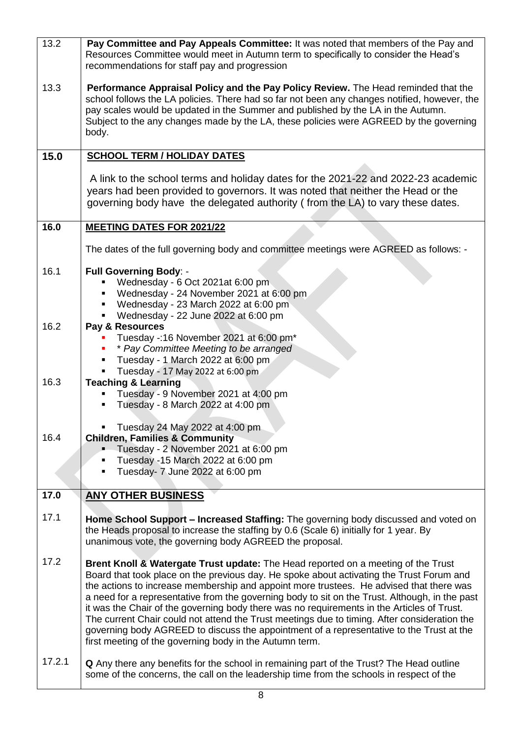| 13.2   | Pay Committee and Pay Appeals Committee: It was noted that members of the Pay and<br>Resources Committee would meet in Autumn term to specifically to consider the Head's<br>recommendations for staff pay and progression                                                                                                                                                                                                                                                                                                                                                                                                                                                                                                                 |
|--------|--------------------------------------------------------------------------------------------------------------------------------------------------------------------------------------------------------------------------------------------------------------------------------------------------------------------------------------------------------------------------------------------------------------------------------------------------------------------------------------------------------------------------------------------------------------------------------------------------------------------------------------------------------------------------------------------------------------------------------------------|
| 13.3   | Performance Appraisal Policy and the Pay Policy Review. The Head reminded that the<br>school follows the LA policies. There had so far not been any changes notified, however, the<br>pay scales would be updated in the Summer and published by the LA in the Autumn.<br>Subject to the any changes made by the LA, these policies were AGREED by the governing<br>body.                                                                                                                                                                                                                                                                                                                                                                  |
| 15.0   | <b>SCHOOL TERM / HOLIDAY DATES</b>                                                                                                                                                                                                                                                                                                                                                                                                                                                                                                                                                                                                                                                                                                         |
|        | A link to the school terms and holiday dates for the 2021-22 and 2022-23 academic<br>years had been provided to governors. It was noted that neither the Head or the<br>governing body have the delegated authority (from the LA) to vary these dates.                                                                                                                                                                                                                                                                                                                                                                                                                                                                                     |
| 16.0   | <b>MEETING DATES FOR 2021/22</b>                                                                                                                                                                                                                                                                                                                                                                                                                                                                                                                                                                                                                                                                                                           |
|        | The dates of the full governing body and committee meetings were AGREED as follows: -                                                                                                                                                                                                                                                                                                                                                                                                                                                                                                                                                                                                                                                      |
| 16.1   | <b>Full Governing Body: -</b><br>Wednesday - 6 Oct 2021at 6:00 pm<br>Wednesday - 24 November 2021 at 6:00 pm<br>Wednesday - 23 March 2022 at 6:00 pm<br>٠<br>Wednesday - 22 June 2022 at 6:00 pm<br>٠,                                                                                                                                                                                                                                                                                                                                                                                                                                                                                                                                     |
| 16.2   | Pay & Resources<br>Tuesday -: 16 November 2021 at 6:00 pm*<br>* Pay Committee Meeting to be arranged<br>Tuesday - 1 March 2022 at 6:00 pm<br>Tuesday - 17 May 2022 at 6:00 pm<br>٠                                                                                                                                                                                                                                                                                                                                                                                                                                                                                                                                                         |
| 16.3   | <b>Teaching &amp; Learning</b><br>Tuesday - 9 November 2021 at 4:00 pm<br>٠<br>Tuesday - 8 March 2022 at 4:00 pm                                                                                                                                                                                                                                                                                                                                                                                                                                                                                                                                                                                                                           |
| 16.4   | Tuesday 24 May 2022 at 4:00 pm<br><b>Children, Families &amp; Community</b><br>Tuesday - 2 November 2021 at 6:00 pm<br>Tuesday -15 March 2022 at 6:00 pm<br>Tuesday- 7 June 2022 at 6:00 pm<br>٠                                                                                                                                                                                                                                                                                                                                                                                                                                                                                                                                           |
| 17.0   | <b>ANY OTHER BUSINESS</b>                                                                                                                                                                                                                                                                                                                                                                                                                                                                                                                                                                                                                                                                                                                  |
| 17.1   | Home School Support – Increased Staffing: The governing body discussed and voted on<br>the Heads proposal to increase the staffing by 0.6 (Scale 6) initially for 1 year. By<br>unanimous vote, the governing body AGREED the proposal.                                                                                                                                                                                                                                                                                                                                                                                                                                                                                                    |
| 17.2   | <b>Brent Knoll &amp; Watergate Trust update:</b> The Head reported on a meeting of the Trust<br>Board that took place on the previous day. He spoke about activating the Trust Forum and<br>the actions to increase membership and appoint more trustees. He advised that there was<br>a need for a representative from the governing body to sit on the Trust. Although, in the past<br>it was the Chair of the governing body there was no requirements in the Articles of Trust.<br>The current Chair could not attend the Trust meetings due to timing. After consideration the<br>governing body AGREED to discuss the appointment of a representative to the Trust at the<br>first meeting of the governing body in the Autumn term. |
| 17.2.1 | <b>Q</b> Any there any benefits for the school in remaining part of the Trust? The Head outline<br>some of the concerns, the call on the leadership time from the schools in respect of the                                                                                                                                                                                                                                                                                                                                                                                                                                                                                                                                                |